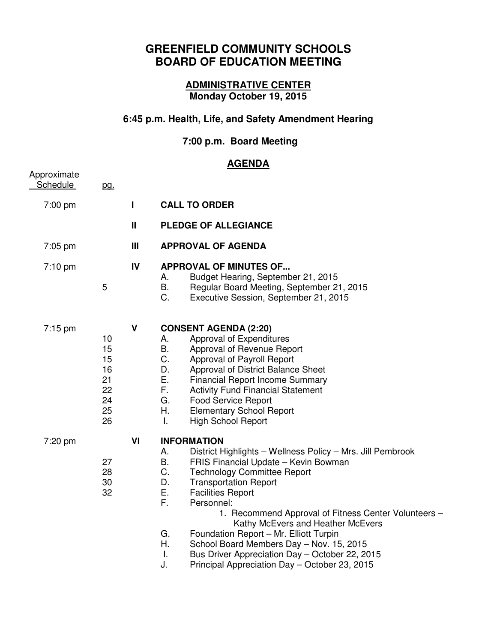# **GREENFIELD COMMUNITY SCHOOLS BOARD OF EDUCATION MEETING**

# **ADMINISTRATIVE CENTER Monday October 19, 2015**

# **6:45 p.m. Health, Life, and Safety Amendment Hearing**

### **7:00 p.m. Board Meeting**

# **AGENDA**

| Approximate       |                                                    |     | , , , , , , , , , ,                                                                                                                                                                                                                                                                                                                                                                                                                                                                                                                                                                        |
|-------------------|----------------------------------------------------|-----|--------------------------------------------------------------------------------------------------------------------------------------------------------------------------------------------------------------------------------------------------------------------------------------------------------------------------------------------------------------------------------------------------------------------------------------------------------------------------------------------------------------------------------------------------------------------------------------------|
| <b>Schedule</b>   | pg.                                                |     |                                                                                                                                                                                                                                                                                                                                                                                                                                                                                                                                                                                            |
|                   |                                                    |     |                                                                                                                                                                                                                                                                                                                                                                                                                                                                                                                                                                                            |
| 7:00 pm           |                                                    | L   | <b>CALL TO ORDER</b>                                                                                                                                                                                                                                                                                                                                                                                                                                                                                                                                                                       |
|                   |                                                    | Ш   | <b>PLEDGE OF ALLEGIANCE</b>                                                                                                                                                                                                                                                                                                                                                                                                                                                                                                                                                                |
| $7:05$ pm         |                                                    | III | <b>APPROVAL OF AGENDA</b>                                                                                                                                                                                                                                                                                                                                                                                                                                                                                                                                                                  |
| $7:10 \text{ pm}$ | 5                                                  | IV  | <b>APPROVAL OF MINUTES OF</b><br>Budget Hearing, September 21, 2015<br>А.<br>В.<br>Regular Board Meeting, September 21, 2015<br>C.<br>Executive Session, September 21, 2015                                                                                                                                                                                                                                                                                                                                                                                                                |
| $7:15 \text{ pm}$ | 10<br>15<br>15<br>16<br>21<br>22<br>24<br>25<br>26 | V   | <b>CONSENT AGENDA (2:20)</b><br>Approval of Expenditures<br>А.<br>Β.<br>Approval of Revenue Report<br>C.<br>Approval of Payroll Report<br>D.<br>Approval of District Balance Sheet<br>Е.<br><b>Financial Report Income Summary</b><br>F.<br><b>Activity Fund Financial Statement</b><br>G.<br>Food Service Report<br>Η.<br><b>Elementary School Report</b><br><b>High School Report</b><br>Τ.                                                                                                                                                                                              |
| 7:20 pm           | 27<br>28<br>30<br>32                               | VI  | <b>INFORMATION</b><br>А.<br>District Highlights - Wellness Policy - Mrs. Jill Pembrook<br>В.<br>FRIS Financial Update - Kevin Bowman<br>C.<br><b>Technology Committee Report</b><br>D.<br><b>Transportation Report</b><br><b>Facilities Report</b><br>Е.<br>F.<br>Personnel:<br>1. Recommend Approval of Fitness Center Volunteers -<br>Kathy McEvers and Heather McEvers<br>G.<br>Foundation Report - Mr. Elliott Turpin<br>Η.<br>School Board Members Day - Nov. 15, 2015<br>Τ.<br>Bus Driver Appreciation Day - October 22, 2015<br>Principal Appreciation Day - October 23, 2015<br>J. |